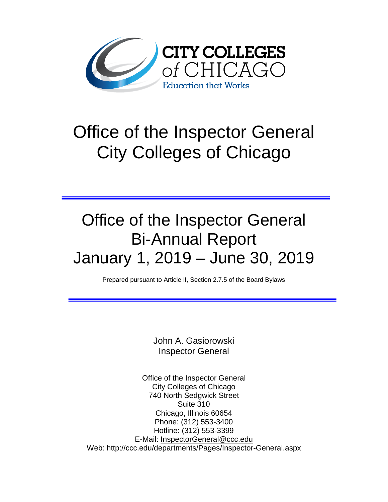

# Office of the Inspector General City Colleges of Chicago

# Office of the Inspector General Bi-Annual Report January 1, 2019 – June 30, 2019

Prepared pursuant to Article II, Section 2.7.5 of the Board Bylaws

John A. Gasiorowski Inspector General

Office of the Inspector General City Colleges of Chicago 740 North Sedgwick Street Suite 310 Chicago, Illinois 60654 Phone: (312) 553-3400 Hotline: (312) 553-3399 E-Mail: [InspectorGeneral@ccc.edu](mailto:InspectorGeneral@ccc.edu) Web: http://ccc.edu/departments/Pages/Inspector-General.aspx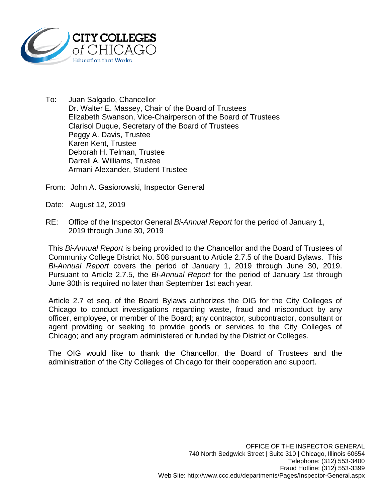

To: Juan Salgado, Chancellor Dr. Walter E. Massey, Chair of the Board of Trustees Elizabeth Swanson, Vice-Chairperson of the Board of Trustees Clarisol Duque, Secretary of the Board of Trustees Peggy A. Davis, Trustee Karen Kent, Trustee Deborah H. Telman, Trustee Darrell A. Williams, Trustee Armani Alexander, Student Trustee

From: John A. Gasiorowski, Inspector General

Date: August 12, 2019

RE: Office of the Inspector General *Bi-Annual Report* for the period of January 1, 2019 through June 30, 2019

This *Bi-Annual Report* is being provided to the Chancellor and the Board of Trustees of Community College District No. 508 pursuant to Article 2.7.5 of the Board Bylaws. This *Bi-Annual Report* covers the period of January 1, 2019 through June 30, 2019. Pursuant to Article 2.7.5, the *Bi-Annual Report* for the period of January 1st through June 30th is required no later than September 1st each year.

Article 2.7 et seq. of the Board Bylaws authorizes the OIG for the City Colleges of Chicago to conduct investigations regarding waste, fraud and misconduct by any officer, employee, or member of the Board; any contractor, subcontractor, consultant or agent providing or seeking to provide goods or services to the City Colleges of Chicago; and any program administered or funded by the District or Colleges.

The OIG would like to thank the Chancellor, the Board of Trustees and the administration of the City Colleges of Chicago for their cooperation and support.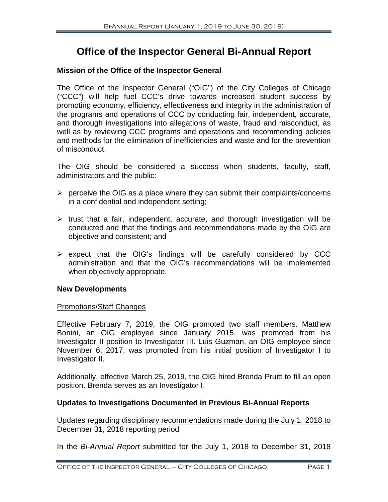# **Office of the Inspector General Bi-Annual Report**

## **Mission of the Office of the Inspector General**

The Office of the Inspector General ("OIG") of the City Colleges of Chicago ("CCC") will help fuel CCC's drive towards increased student success by promoting economy, efficiency, effectiveness and integrity in the administration of the programs and operations of CCC by conducting fair, independent, accurate, and thorough investigations into allegations of waste, fraud and misconduct, as well as by reviewing CCC programs and operations and recommending policies and methods for the elimination of inefficiencies and waste and for the prevention of misconduct.

The OIG should be considered a success when students, faculty, staff, administrators and the public:

- $\triangleright$  perceive the OIG as a place where they can submit their complaints/concerns in a confidential and independent setting;
- $\triangleright$  trust that a fair, independent, accurate, and thorough investigation will be conducted and that the findings and recommendations made by the OIG are objective and consistent; and
- $\triangleright$  expect that the OIG's findings will be carefully considered by CCC administration and that the OIG's recommendations will be implemented when objectively appropriate.

#### **New Developments**

#### Promotions/Staff Changes

Effective February 7, 2019, the OIG promoted two staff members. Matthew Bonini, an OIG employee since January 2015, was promoted from his Investigator II position to Investigator III. Luis Guzman, an OIG employee since November 6, 2017, was promoted from his initial position of Investigator I to Investigator II.

Additionally, effective March 25, 2019, the OIG hired Brenda Pruitt to fill an open position. Brenda serves as an Investigator I.

# **Updates to Investigations Documented in Previous Bi-Annual Reports**

Updates regarding disciplinary recommendations made during the July 1, 2018 to December 31, 2018 reporting period

In the *Bi-Annual Report* submitted for the July 1, 2018 to December 31, 2018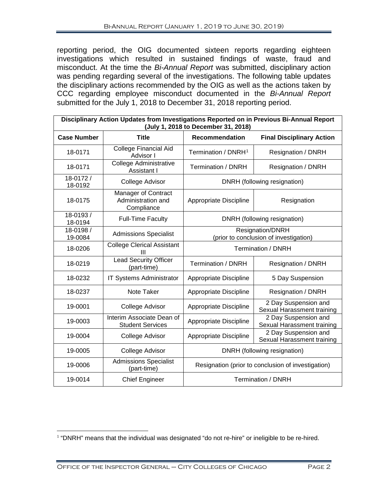reporting period, the OIG documented sixteen reports regarding eighteen investigations which resulted in sustained findings of waste, fraud and misconduct. At the time the *Bi-Annual Report* was submitted, disciplinary action was pending regarding several of the investigations. The following table updates the disciplinary actions recommended by the OIG as well as the actions taken by CCC regarding employee misconduct documented in the *Bi-Annual Report* submitted for the July 1, 2018 to December 31, 2018 reporting period.

| Disciplinary Action Updates from Investigations Reported on in Previous Bi-Annual Report<br>(July 1, 2018 to December 31, 2018) |                                                         |                                                            |                                                    |  |
|---------------------------------------------------------------------------------------------------------------------------------|---------------------------------------------------------|------------------------------------------------------------|----------------------------------------------------|--|
| <b>Case Number</b>                                                                                                              | <b>Title</b>                                            | <b>Recommendation</b>                                      | <b>Final Disciplinary Action</b>                   |  |
| 18-0171                                                                                                                         | <b>College Financial Aid</b><br>Advisor I               | Termination / DNRH <sup>1</sup>                            | Resignation / DNRH                                 |  |
| 18-0171                                                                                                                         | <b>College Administrative</b><br>Assistant I            | <b>Termination / DNRH</b>                                  | Resignation / DNRH                                 |  |
| 18-0172/<br>18-0192                                                                                                             | College Advisor                                         | DNRH (following resignation)                               |                                                    |  |
| 18-0175                                                                                                                         | Manager of Contract<br>Administration and<br>Compliance | Appropriate Discipline                                     | Resignation                                        |  |
| 18-0193/<br>18-0194                                                                                                             | <b>Full-Time Faculty</b>                                | DNRH (following resignation)                               |                                                    |  |
| 18-0198 /<br>19-0084                                                                                                            | <b>Admissions Specialist</b>                            | Resignation/DNRH<br>(prior to conclusion of investigation) |                                                    |  |
| 18-0206                                                                                                                         | <b>College Clerical Assistant</b><br>Ш                  | Termination / DNRH                                         |                                                    |  |
| 18-0219                                                                                                                         | <b>Lead Security Officer</b><br>(part-time)             | <b>Termination / DNRH</b>                                  | Resignation / DNRH                                 |  |
| 18-0232                                                                                                                         | IT Systems Administrator                                | Appropriate Discipline                                     | 5 Day Suspension                                   |  |
| 18-0237                                                                                                                         | Note Taker                                              | Appropriate Discipline                                     | Resignation / DNRH                                 |  |
| 19-0001                                                                                                                         | College Advisor                                         | Appropriate Discipline                                     | 2 Day Suspension and<br>Sexual Harassment training |  |
| 19-0003                                                                                                                         | Interim Associate Dean of<br><b>Student Services</b>    | Appropriate Discipline                                     | 2 Day Suspension and<br>Sexual Harassment training |  |
| 19-0004                                                                                                                         | College Advisor                                         | Appropriate Discipline                                     | 2 Day Suspension and<br>Sexual Harassment training |  |
| 19-0005                                                                                                                         | College Advisor                                         | DNRH (following resignation)                               |                                                    |  |
| 19-0006                                                                                                                         | <b>Admissions Specialist</b><br>(part-time)             | Resignation (prior to conclusion of investigation)         |                                                    |  |
| 19-0014                                                                                                                         | <b>Chief Engineer</b>                                   | <b>Termination / DNRH</b>                                  |                                                    |  |

<span id="page-3-0"></span><sup>&</sup>lt;sup>1</sup> "DNRH" means that the individual was designated "do not re-hire" or ineligible to be re-hired.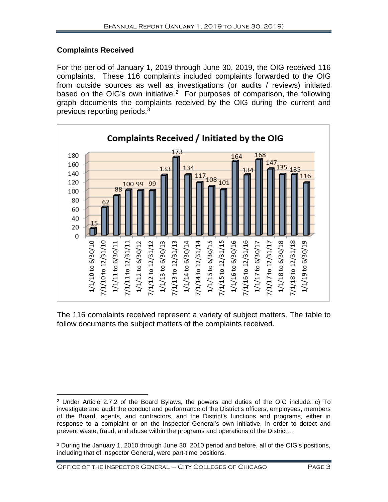# **Complaints Received**

For the period of January 1, 2019 through June 30, 2019, the OIG received 116 complaints. These 116 complaints included complaints forwarded to the OIG from outside sources as well as investigations (or audits / reviews) initiated based on the OIG's own initiative.<sup>[2](#page-4-0)</sup> For purposes of comparison, the following graph documents the complaints received by the OIG during the current and previous reporting periods.[3](#page-4-1)



The 116 complaints received represent a variety of subject matters. The table to follow documents the subject matters of the complaints received.

<span id="page-4-0"></span> $\overline{a}$ <sup>2</sup> Under Article 2.7.2 of the Board Bylaws, the powers and duties of the OIG include: c) To investigate and audit the conduct and performance of the District's officers, employees, members of the Board, agents, and contractors, and the District's functions and programs, either in response to a complaint or on the Inspector General's own initiative, in order to detect and prevent waste, fraud, and abuse within the programs and operations of the District….

<span id="page-4-1"></span><sup>&</sup>lt;sup>3</sup> During the January 1, 2010 through June 30, 2010 period and before, all of the OIG's positions, including that of Inspector General, were part-time positions.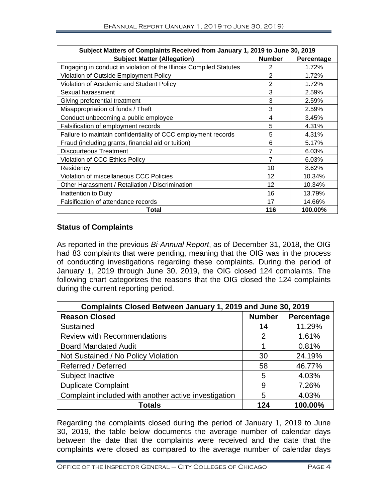| Subject Matters of Complaints Received from January 1, 2019 to June 30, 2019 |                |            |  |
|------------------------------------------------------------------------------|----------------|------------|--|
| <b>Subject Matter (Allegation)</b>                                           | <b>Number</b>  | Percentage |  |
| Engaging in conduct in violation of the Illinois Compiled Statutes           | 2              | 1.72%      |  |
| Violation of Outside Employment Policy                                       | 2              | 1.72%      |  |
| Violation of Academic and Student Policy                                     | $\overline{2}$ | 1.72%      |  |
| Sexual harassment                                                            | 3              | 2.59%      |  |
| Giving preferential treatment                                                | 3              | 2.59%      |  |
| Misappropriation of funds / Theft                                            | 3              | 2.59%      |  |
| Conduct unbecoming a public employee                                         | 4              | 3.45%      |  |
| Falsification of employment records                                          | 5              | 4.31%      |  |
| Failure to maintain confidentiality of CCC employment records                | 5              | 4.31%      |  |
| Fraud (including grants, financial aid or tuition)                           | 6              | 5.17%      |  |
| <b>Discourteous Treatment</b>                                                | 7              | 6.03%      |  |
| Violation of CCC Ethics Policy                                               | 7              | 6.03%      |  |
| Residency                                                                    | 10             | 8.62%      |  |
| Violation of miscellaneous CCC Policies                                      | 12             | 10.34%     |  |
| Other Harassment / Retaliation / Discrimination                              | 12             | 10.34%     |  |
| Inattention to Duty                                                          | 16             | 13.79%     |  |
| Falsification of attendance records                                          | 17             | 14.66%     |  |
| Total                                                                        | 116            | 100.00%    |  |

# **Status of Complaints**

As reported in the previous *Bi-Annual Report*, as of December 31, 2018, the OIG had 83 complaints that were pending, meaning that the OIG was in the process of conducting investigations regarding these complaints. During the period of January 1, 2019 through June 30, 2019, the OIG closed 124 complaints. The following chart categorizes the reasons that the OIG closed the 124 complaints during the current reporting period.

| Complaints Closed Between January 1, 2019 and June 30, 2019 |               |            |  |
|-------------------------------------------------------------|---------------|------------|--|
| <b>Reason Closed</b>                                        | <b>Number</b> | Percentage |  |
| Sustained                                                   | 14            | 11.29%     |  |
| <b>Review with Recommendations</b>                          | 2             | 1.61%      |  |
| <b>Board Mandated Audit</b>                                 |               | 0.81%      |  |
| Not Sustained / No Policy Violation                         | 30            | 24.19%     |  |
| Referred / Deferred                                         | 58            | 46.77%     |  |
| Subject Inactive                                            | 5             | 4.03%      |  |
| <b>Duplicate Complaint</b>                                  | 9             | 7.26%      |  |
| Complaint included with another active investigation        | 5             | 4.03%      |  |
| <b>Totals</b>                                               | 124           | 100.00%    |  |

Regarding the complaints closed during the period of January 1, 2019 to June 30, 2019, the table below documents the average number of calendar days between the date that the complaints were received and the date that the complaints were closed as compared to the average number of calendar days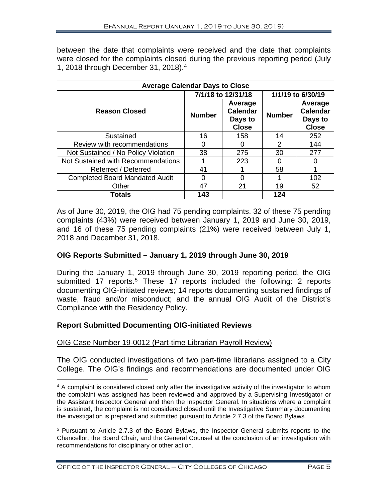between the date that complaints were received and the date that complaints were closed for the complaints closed during the previous reporting period (July 1, 2018 through December 31, 2018). [4](#page-6-0)

| <b>Average Calendar Days to Close</b> |                    |                                                       |                   |                                                       |
|---------------------------------------|--------------------|-------------------------------------------------------|-------------------|-------------------------------------------------------|
|                                       | 7/1/18 to 12/31/18 |                                                       | 1/1/19 to 6/30/19 |                                                       |
| <b>Reason Closed</b>                  | <b>Number</b>      | Average<br><b>Calendar</b><br>Days to<br><b>Close</b> | <b>Number</b>     | Average<br><b>Calendar</b><br>Days to<br><b>Close</b> |
| Sustained                             | 16                 | 158                                                   | 14                | 252                                                   |
| Review with recommendations           | 0                  | 0                                                     | 2                 | 144                                                   |
| Not Sustained / No Policy Violation   | 38                 | 275                                                   | 30                | 277                                                   |
| Not Sustained with Recommendations    |                    | 223                                                   | 0                 | ი                                                     |
| Referred / Deferred                   | 41                 |                                                       | 58                |                                                       |
| <b>Completed Board Mandated Audit</b> | O                  | 0                                                     |                   | 102                                                   |
| Other                                 | 47                 | 21                                                    | 19                | 52                                                    |
| <b>Totals</b>                         | 143                |                                                       | 124               |                                                       |

As of June 30, 2019, the OIG had 75 pending complaints. 32 of these 75 pending complaints (43%) were received between January 1, 2019 and June 30, 2019, and 16 of these 75 pending complaints (21%) were received between July 1, 2018 and December 31, 2018.

# **OIG Reports Submitted – January 1, 2019 through June 30, 2019**

During the January 1, 2019 through June 30, 2019 reporting period, the OIG submitted 17 reports.<sup>[5](#page-6-1)</sup> These 17 reports included the following: 2 reports documenting OIG-initiated reviews; 14 reports documenting sustained findings of waste, fraud and/or misconduct; and the annual OIG Audit of the District's Compliance with the Residency Policy.

#### **Report Submitted Documenting OIG-initiated Reviews**

 $\overline{a}$ 

# OIG Case Number 19-0012 (Part-time Librarian Payroll Review)

The OIG conducted investigations of two part-time librarians assigned to a City College. The OIG's findings and recommendations are documented under OIG

<span id="page-6-0"></span><sup>&</sup>lt;sup>4</sup> A complaint is considered closed only after the investigative activity of the investigator to whom the complaint was assigned has been reviewed and approved by a Supervising Investigator or the Assistant Inspector General and then the Inspector General. In situations where a complaint is sustained, the complaint is not considered closed until the Investigative Summary documenting the investigation is prepared and submitted pursuant to Article 2.7.3 of the Board Bylaws.

<span id="page-6-1"></span> $5$  Pursuant to Article 2.7.3 of the Board Bylaws, the Inspector General submits reports to the Chancellor, the Board Chair, and the General Counsel at the conclusion of an investigation with recommendations for disciplinary or other action.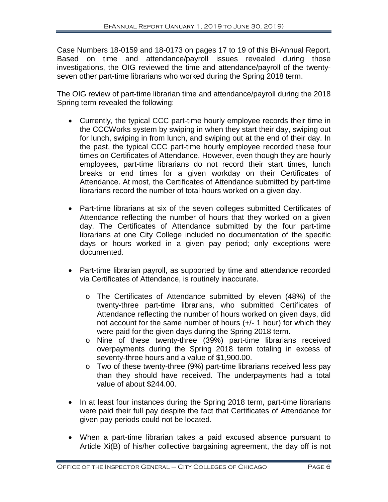Case Numbers 18-0159 and 18-0173 on pages 17 to 19 of this Bi-Annual Report. Based on time and attendance/payroll issues revealed during those investigations, the OIG reviewed the time and attendance/payroll of the twentyseven other part-time librarians who worked during the Spring 2018 term.

The OIG review of part-time librarian time and attendance/payroll during the 2018 Spring term revealed the following:

- Currently, the typical CCC part-time hourly employee records their time in the CCCWorks system by swiping in when they start their day, swiping out for lunch, swiping in from lunch, and swiping out at the end of their day. In the past, the typical CCC part-time hourly employee recorded these four times on Certificates of Attendance. However, even though they are hourly employees, part-time librarians do not record their start times, lunch breaks or end times for a given workday on their Certificates of Attendance. At most, the Certificates of Attendance submitted by part-time librarians record the number of total hours worked on a given day.
- Part-time librarians at six of the seven colleges submitted Certificates of Attendance reflecting the number of hours that they worked on a given day. The Certificates of Attendance submitted by the four part-time librarians at one City College included no documentation of the specific days or hours worked in a given pay period; only exceptions were documented.
- Part-time librarian payroll, as supported by time and attendance recorded via Certificates of Attendance, is routinely inaccurate.
	- o The Certificates of Attendance submitted by eleven (48%) of the twenty-three part-time librarians, who submitted Certificates of Attendance reflecting the number of hours worked on given days, did not account for the same number of hours (+/- 1 hour) for which they were paid for the given days during the Spring 2018 term.
	- o Nine of these twenty-three (39%) part-time librarians received overpayments during the Spring 2018 term totaling in excess of seventy-three hours and a value of \$1,900.00.
	- o Two of these twenty-three (9%) part-time librarians received less pay than they should have received. The underpayments had a total value of about \$244.00.
- In at least four instances during the Spring 2018 term, part-time librarians were paid their full pay despite the fact that Certificates of Attendance for given pay periods could not be located.
- When a part-time librarian takes a paid excused absence pursuant to Article Xi(B) of his/her collective bargaining agreement, the day off is not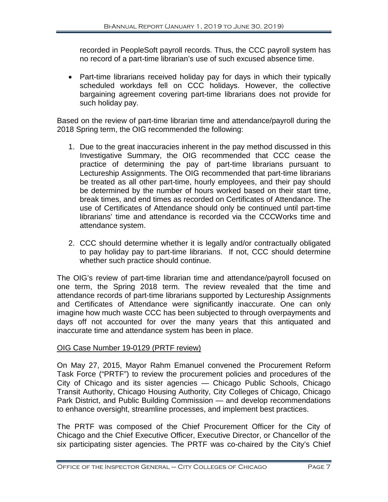recorded in PeopleSoft payroll records. Thus, the CCC payroll system has no record of a part-time librarian's use of such excused absence time.

• Part-time librarians received holiday pay for days in which their typically scheduled workdays fell on CCC holidays. However, the collective bargaining agreement covering part-time librarians does not provide for such holiday pay.

Based on the review of part-time librarian time and attendance/payroll during the 2018 Spring term, the OIG recommended the following:

- 1. Due to the great inaccuracies inherent in the pay method discussed in this Investigative Summary, the OIG recommended that CCC cease the practice of determining the pay of part-time librarians pursuant to Lectureship Assignments. The OIG recommended that part-time librarians be treated as all other part-time, hourly employees, and their pay should be determined by the number of hours worked based on their start time, break times, and end times as recorded on Certificates of Attendance. The use of Certificates of Attendance should only be continued until part-time librarians' time and attendance is recorded via the CCCWorks time and attendance system.
- 2. CCC should determine whether it is legally and/or contractually obligated to pay holiday pay to part-time librarians. If not, CCC should determine whether such practice should continue.

The OIG's review of part-time librarian time and attendance/payroll focused on one term, the Spring 2018 term. The review revealed that the time and attendance records of part-time librarians supported by Lectureship Assignments and Certificates of Attendance were significantly inaccurate. One can only imagine how much waste CCC has been subjected to through overpayments and days off not accounted for over the many years that this antiquated and inaccurate time and attendance system has been in place.

#### OIG Case Number 19-0129 (PRTF review)

On May 27, 2015, Mayor Rahm Emanuel convened the Procurement Reform Task Force ("PRTF") to review the procurement policies and procedures of the City of Chicago and its sister agencies — Chicago Public Schools, Chicago Transit Authority, Chicago Housing Authority, City Colleges of Chicago, Chicago Park District, and Public Building Commission — and develop recommendations to enhance oversight, streamline processes, and implement best practices.

The PRTF was composed of the Chief Procurement Officer for the City of Chicago and the Chief Executive Officer, Executive Director, or Chancellor of the six participating sister agencies. The PRTF was co-chaired by the City's Chief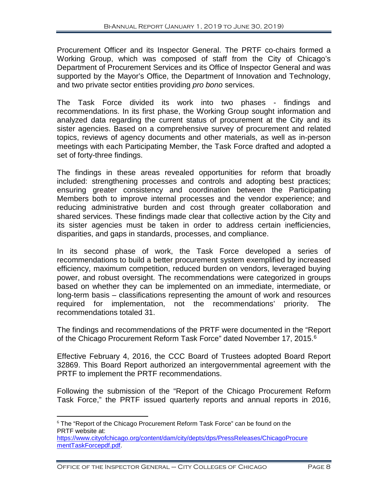Procurement Officer and its Inspector General. The PRTF co-chairs formed a Working Group, which was composed of staff from the City of Chicago's Department of Procurement Services and its Office of Inspector General and was supported by the Mayor's Office, the Department of Innovation and Technology, and two private sector entities providing *pro bono* services.

The Task Force divided its work into two phases - findings and recommendations. In its first phase, the Working Group sought information and analyzed data regarding the current status of procurement at the City and its sister agencies. Based on a comprehensive survey of procurement and related topics, reviews of agency documents and other materials, as well as in-person meetings with each Participating Member, the Task Force drafted and adopted a set of forty-three findings.

The findings in these areas revealed opportunities for reform that broadly included: strengthening processes and controls and adopting best practices; ensuring greater consistency and coordination between the Participating Members both to improve internal processes and the vendor experience; and reducing administrative burden and cost through greater collaboration and shared services. These findings made clear that collective action by the City and its sister agencies must be taken in order to address certain inefficiencies, disparities, and gaps in standards, processes, and compliance.

In its second phase of work, the Task Force developed a series of recommendations to build a better procurement system exemplified by increased efficiency, maximum competition, reduced burden on vendors, leveraged buying power, and robust oversight. The recommendations were categorized in groups based on whether they can be implemented on an immediate, intermediate, or long-term basis – classifications representing the amount of work and resources required for implementation, not the recommendations' priority. The recommendations totaled 31.

The findings and recommendations of the PRTF were documented in the "Report of the Chicago Procurement Reform Task Force" dated November 17, 2015.<sup>[6](#page-9-0)</sup>

Effective February 4, 2016, the CCC Board of Trustees adopted Board Report 32869. This Board Report authorized an intergovernmental agreement with the PRTF to implement the PRTF recommendations.

Following the submission of the "Report of the Chicago Procurement Reform Task Force," the PRTF issued quarterly reports and annual reports in 2016,

<span id="page-9-0"></span> $6$  The "Report of the Chicago Procurement Reform Task Force" can be found on the PRTF website at: [https://www.cityofchicago.org/content/dam/city/depts/dps/PressReleases/ChicagoProcure](https://www.cityofchicago.org/content/dam/city/depts/dps/PressReleases/ChicagoProcurementTaskForcepdf.pdf)

[mentTaskForcepdf.pdf.](https://www.cityofchicago.org/content/dam/city/depts/dps/PressReleases/ChicagoProcurementTaskForcepdf.pdf)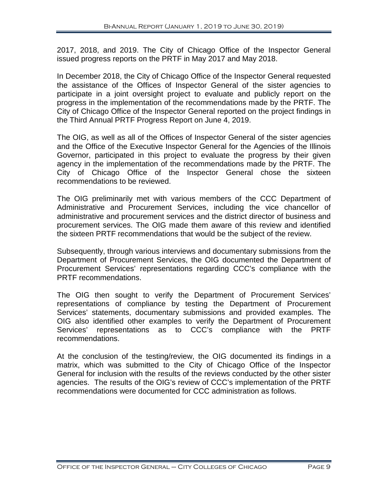2017, 2018, and 2019. The City of Chicago Office of the Inspector General issued progress reports on the PRTF in May 2017 and May 2018.

In December 2018, the City of Chicago Office of the Inspector General requested the assistance of the Offices of Inspector General of the sister agencies to participate in a joint oversight project to evaluate and publicly report on the progress in the implementation of the recommendations made by the PRTF. The City of Chicago Office of the Inspector General reported on the project findings in the Third Annual PRTF Progress Report on June 4, 2019.

The OIG, as well as all of the Offices of Inspector General of the sister agencies and the Office of the Executive Inspector General for the Agencies of the Illinois Governor, participated in this project to evaluate the progress by their given agency in the implementation of the recommendations made by the PRTF. The City of Chicago Office of the Inspector General chose the sixteen recommendations to be reviewed.

The OIG preliminarily met with various members of the CCC Department of Administrative and Procurement Services, including the vice chancellor of administrative and procurement services and the district director of business and procurement services. The OIG made them aware of this review and identified the sixteen PRTF recommendations that would be the subject of the review.

Subsequently, through various interviews and documentary submissions from the Department of Procurement Services, the OIG documented the Department of Procurement Services' representations regarding CCC's compliance with the PRTF recommendations.

The OIG then sought to verify the Department of Procurement Services' representations of compliance by testing the Department of Procurement Services' statements, documentary submissions and provided examples. The OIG also identified other examples to verify the Department of Procurement Services' representations as to CCC's compliance with the PRTF recommendations.

At the conclusion of the testing/review, the OIG documented its findings in a matrix, which was submitted to the City of Chicago Office of the Inspector General for inclusion with the results of the reviews conducted by the other sister agencies. The results of the OIG's review of CCC's implementation of the PRTF recommendations were documented for CCC administration as follows.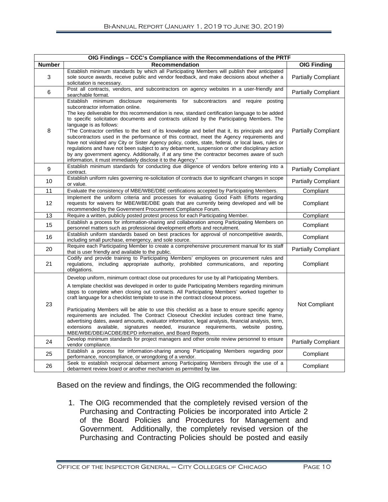|               | OIG Findings - CCC's Compliance with the Recommendations of the PRTF                                                                                                                                                                                                                                                                                                                                                                                                                                                                                                                                                                                                                                                                                                                                                                                                                                                         |                            |
|---------------|------------------------------------------------------------------------------------------------------------------------------------------------------------------------------------------------------------------------------------------------------------------------------------------------------------------------------------------------------------------------------------------------------------------------------------------------------------------------------------------------------------------------------------------------------------------------------------------------------------------------------------------------------------------------------------------------------------------------------------------------------------------------------------------------------------------------------------------------------------------------------------------------------------------------------|----------------------------|
| <b>Number</b> | <b>Recommendation</b>                                                                                                                                                                                                                                                                                                                                                                                                                                                                                                                                                                                                                                                                                                                                                                                                                                                                                                        | <b>OIG Finding</b>         |
| 3             | Establish minimum standards by which all Participating Members will publish their anticipated<br>sole source awards, receive public and vendor feedback, and make decisions about whether a<br>solicitation is necessary.                                                                                                                                                                                                                                                                                                                                                                                                                                                                                                                                                                                                                                                                                                    | <b>Partially Compliant</b> |
| 6             | Post all contracts, vendors, and subcontractors on agency websites in a user-friendly and<br>searchable format.                                                                                                                                                                                                                                                                                                                                                                                                                                                                                                                                                                                                                                                                                                                                                                                                              | <b>Partially Compliant</b> |
| 8             | Establish minimum disclosure requirements for subcontractors and require posting<br>subcontractor information online.<br>The key deliverable for this recommendation is new, standard certification language to be added<br>to specific solicitation documents and contracts utilized by the Participating Members. The<br>language is as follows:<br>"The Contractor certifies to the best of its knowledge and belief that it, its principals and any<br>subcontractors used in the performance of this contract, meet the Agency requirements and<br>have not violated any City or Sister Agency policy, codes, state, federal, or local laws, rules or<br>regulations and have not been subject to any debarment, suspension or other disciplinary action<br>by any government agency. Additionally, if at any time the contractor becomes aware of such<br>information, it must immediately disclose it to the Agency." | <b>Partially Compliant</b> |
| 9             | Establish minimum standards for conducting due diligence of vendors before entering into a<br>contract.                                                                                                                                                                                                                                                                                                                                                                                                                                                                                                                                                                                                                                                                                                                                                                                                                      | <b>Partially Compliant</b> |
| 10            | Establish uniform rules governing re-solicitation of contracts due to significant changes in scope<br>or value.                                                                                                                                                                                                                                                                                                                                                                                                                                                                                                                                                                                                                                                                                                                                                                                                              | <b>Partially Compliant</b> |
| 11            | Evaluate the consistency of MBE/WBE/DBE certifications accepted by Participating Members.                                                                                                                                                                                                                                                                                                                                                                                                                                                                                                                                                                                                                                                                                                                                                                                                                                    | Compliant                  |
| 12            | Implement the uniform criteria and processes for evaluating Good Faith Efforts regarding<br>requests for waivers for MBE/WBE/DBE goals that are currently being developed and will be<br>recommended by the Government Procurement Compliance Forum.                                                                                                                                                                                                                                                                                                                                                                                                                                                                                                                                                                                                                                                                         | Compliant                  |
| 13            | Require a written, publicly posted protest process for each Participating Member.                                                                                                                                                                                                                                                                                                                                                                                                                                                                                                                                                                                                                                                                                                                                                                                                                                            | Compliant                  |
| 15            | Establish a process for information-sharing and collaboration among Participating Members on<br>personnel matters such as professional development efforts and recruitment.                                                                                                                                                                                                                                                                                                                                                                                                                                                                                                                                                                                                                                                                                                                                                  | Compliant                  |
| 16            | Establish uniform standards based on best practices for approval of noncompetitive awards,<br>including small purchase, emergency, and sole source.                                                                                                                                                                                                                                                                                                                                                                                                                                                                                                                                                                                                                                                                                                                                                                          | Compliant                  |
| 20            | Require each Participating Member to create a comprehensive procurement manual for its staff<br>that is user friendly and available to the public.                                                                                                                                                                                                                                                                                                                                                                                                                                                                                                                                                                                                                                                                                                                                                                           | <b>Partially Compliant</b> |
| 21            | Codify and provide training to Participating Members' employees on procurement rules and<br>regulations, including appropriate authority, prohibited communications, and reporting<br>obligations.                                                                                                                                                                                                                                                                                                                                                                                                                                                                                                                                                                                                                                                                                                                           | Compliant                  |
| 23            | Develop uniform, minimum contract close out procedures for use by all Participating Members.<br>A template checklist was developed in order to guide Participating Members regarding minimum<br>steps to complete when closing out contracts. All Participating Members' worked together to<br>craft language for a checklist template to use in the contract closeout process.<br>Participating Members will be able to use this checklist as a base to ensure specific agency<br>requirements are included. The Contract Closeout Checklist includes contract time frame,<br>advertising dates, award amounts, evaluator information, legal analysis, financial analysis, term,<br>extensions available, signatures needed, insurance requirements, website posting,                                                                                                                                                       | Not Compliant              |
| 24            | MBE/WBE/DBE/ACDBE/BEPD information, and Board Reports.<br>Develop minimum standards for project managers and other onsite review personnel to ensure                                                                                                                                                                                                                                                                                                                                                                                                                                                                                                                                                                                                                                                                                                                                                                         | <b>Partially Compliant</b> |
|               | vendor compliance.<br>Establish a process for information-sharing among Participating Members regarding poor                                                                                                                                                                                                                                                                                                                                                                                                                                                                                                                                                                                                                                                                                                                                                                                                                 |                            |
| 25            | performance, noncompliance, or wrongdoing of a vendor.                                                                                                                                                                                                                                                                                                                                                                                                                                                                                                                                                                                                                                                                                                                                                                                                                                                                       | Compliant                  |
| 26            | Seek to establish reciprocal debarment among Participating Members through the use of a<br>debarment review board or another mechanism as permitted by law.                                                                                                                                                                                                                                                                                                                                                                                                                                                                                                                                                                                                                                                                                                                                                                  | Compliant                  |

Based on the review and findings, the OIG recommended the following:

1. The OIG recommended that the completely revised version of the Purchasing and Contracting Policies be incorporated into Article 2 of the Board Policies and Procedures for Management and Government. Additionally, the completely revised version of the Purchasing and Contracting Policies should be posted and easily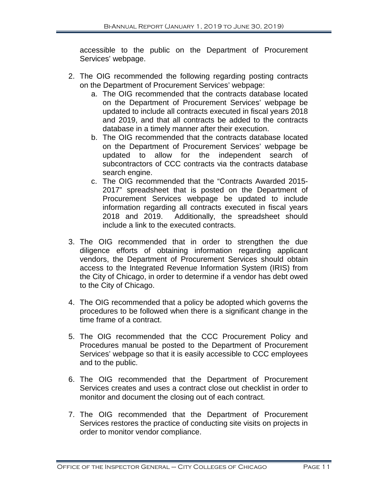accessible to the public on the Department of Procurement Services' webpage.

- 2. The OIG recommended the following regarding posting contracts on the Department of Procurement Services' webpage:
	- a. The OIG recommended that the contracts database located on the Department of Procurement Services' webpage be updated to include all contracts executed in fiscal years 2018 and 2019, and that all contracts be added to the contracts database in a timely manner after their execution.
	- b. The OIG recommended that the contracts database located on the Department of Procurement Services' webpage be updated to allow for the independent search of subcontractors of CCC contracts via the contracts database search engine.
	- c. The OIG recommended that the "Contracts Awarded 2015- 2017" spreadsheet that is posted on the Department of Procurement Services webpage be updated to include information regarding all contracts executed in fiscal years 2018 and 2019. Additionally, the spreadsheet should include a link to the executed contracts.
- 3. The OIG recommended that in order to strengthen the due diligence efforts of obtaining information regarding applicant vendors, the Department of Procurement Services should obtain access to the Integrated Revenue Information System (IRIS) from the City of Chicago, in order to determine if a vendor has debt owed to the City of Chicago.
- 4. The OIG recommended that a policy be adopted which governs the procedures to be followed when there is a significant change in the time frame of a contract.
- 5. The OIG recommended that the CCC Procurement Policy and Procedures manual be posted to the Department of Procurement Services' webpage so that it is easily accessible to CCC employees and to the public.
- 6. The OIG recommended that the Department of Procurement Services creates and uses a contract close out checklist in order to monitor and document the closing out of each contract.
- 7. The OIG recommended that the Department of Procurement Services restores the practice of conducting site visits on projects in order to monitor vendor compliance.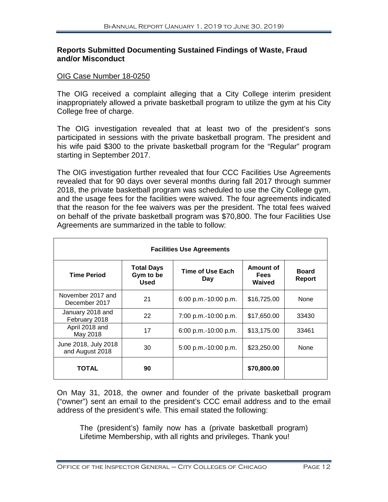## **Reports Submitted Documenting Sustained Findings of Waste, Fraud and/or Misconduct**

#### OIG Case Number 18-0250

The OIG received a complaint alleging that a City College interim president inappropriately allowed a private basketball program to utilize the gym at his City College free of charge.

The OIG investigation revealed that at least two of the president's sons participated in sessions with the private basketball program. The president and his wife paid \$300 to the private basketball program for the "Regular" program starting in September 2017.

The OIG investigation further revealed that four CCC Facilities Use Agreements revealed that for 90 days over several months during fall 2017 through summer 2018, the private basketball program was scheduled to use the City College gym, and the usage fees for the facilities were waived. The four agreements indicated that the reason for the fee waivers was per the president. The total fees waived on behalf of the private basketball program was \$70,800. The four Facilities Use Agreements are summarized in the table to follow:

| <b>Facilities Use Agreements</b>        |                                        |                         |                                    |                               |
|-----------------------------------------|----------------------------------------|-------------------------|------------------------------------|-------------------------------|
| <b>Time Period</b>                      | <b>Total Days</b><br>Gym to be<br>Used | Time of Use Each<br>Day | Amount of<br><b>Fees</b><br>Waived | <b>Board</b><br><b>Report</b> |
| November 2017 and<br>December 2017      | 21                                     | 6:00 p.m.-10:00 p.m.    | \$16,725.00                        | None                          |
| January 2018 and<br>February 2018       | 22                                     | 7:00 p.m.-10:00 p.m.    | \$17,650.00                        | 33430                         |
| April 2018 and<br>May 2018              | 17                                     | 6:00 p.m.-10:00 p.m.    | \$13,175.00                        | 33461                         |
| June 2018, July 2018<br>and August 2018 | 30                                     | 5:00 p.m.-10:00 p.m.    | \$23,250.00                        | None                          |
| <b>TOTAL</b>                            | 90                                     |                         | \$70,800.00                        |                               |

On May 31, 2018, the owner and founder of the private basketball program ("owner") sent an email to the president's CCC email address and to the email address of the president's wife. This email stated the following:

The (president's) family now has a (private basketball program) Lifetime Membership, with all rights and privileges. Thank you!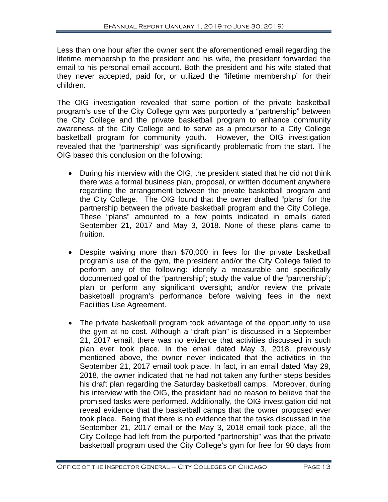Less than one hour after the owner sent the aforementioned email regarding the lifetime membership to the president and his wife, the president forwarded the email to his personal email account. Both the president and his wife stated that they never accepted, paid for, or utilized the "lifetime membership" for their children.

The OIG investigation revealed that some portion of the private basketball program's use of the City College gym was purportedly a "partnership" between the City College and the private basketball program to enhance community awareness of the City College and to serve as a precursor to a City College basketball program for community youth. However, the OIG investigation revealed that the "partnership" was significantly problematic from the start. The OIG based this conclusion on the following:

- During his interview with the OIG, the president stated that he did not think there was a formal business plan, proposal, or written document anywhere regarding the arrangement between the private basketball program and the City College. The OIG found that the owner drafted "plans" for the partnership between the private basketball program and the City College. These "plans" amounted to a few points indicated in emails dated September 21, 2017 and May 3, 2018. None of these plans came to fruition.
- Despite waiving more than \$70,000 in fees for the private basketball program's use of the gym, the president and/or the City College failed to perform any of the following: identify a measurable and specifically documented goal of the "partnership"; study the value of the "partnership"; plan or perform any significant oversight; and/or review the private basketball program's performance before waiving fees in the next Facilities Use Agreement.
- The private basketball program took advantage of the opportunity to use the gym at no cost. Although a "draft plan" is discussed in a September 21, 2017 email, there was no evidence that activities discussed in such plan ever took place. In the email dated May 3, 2018, previously mentioned above, the owner never indicated that the activities in the September 21, 2017 email took place. In fact, in an email dated May 29, 2018, the owner indicated that he had not taken any further steps besides his draft plan regarding the Saturday basketball camps. Moreover, during his interview with the OIG, the president had no reason to believe that the promised tasks were performed. Additionally, the OIG investigation did not reveal evidence that the basketball camps that the owner proposed ever took place. Being that there is no evidence that the tasks discussed in the September 21, 2017 email or the May 3, 2018 email took place, all the City College had left from the purported "partnership" was that the private basketball program used the City College's gym for free for 90 days from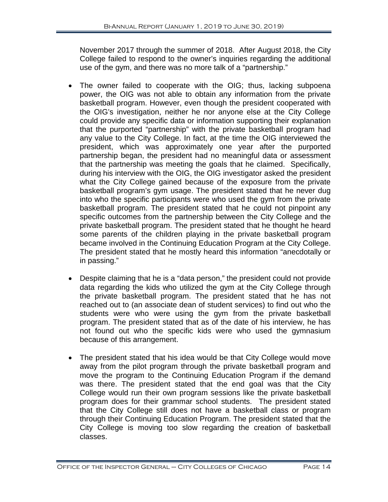November 2017 through the summer of 2018. After August 2018, the City College failed to respond to the owner's inquiries regarding the additional use of the gym, and there was no more talk of a "partnership."

- The owner failed to cooperate with the OIG; thus, lacking subpoena power, the OIG was not able to obtain any information from the private basketball program. However, even though the president cooperated with the OIG's investigation, neither he nor anyone else at the City College could provide any specific data or information supporting their explanation that the purported "partnership" with the private basketball program had any value to the City College. In fact, at the time the OIG interviewed the president, which was approximately one year after the purported partnership began, the president had no meaningful data or assessment that the partnership was meeting the goals that he claimed. Specifically, during his interview with the OIG, the OIG investigator asked the president what the City College gained because of the exposure from the private basketball program's gym usage. The president stated that he never dug into who the specific participants were who used the gym from the private basketball program. The president stated that he could not pinpoint any specific outcomes from the partnership between the City College and the private basketball program. The president stated that he thought he heard some parents of the children playing in the private basketball program became involved in the Continuing Education Program at the City College. The president stated that he mostly heard this information "anecdotally or in passing."
- Despite claiming that he is a "data person," the president could not provide data regarding the kids who utilized the gym at the City College through the private basketball program. The president stated that he has not reached out to (an associate dean of student services) to find out who the students were who were using the gym from the private basketball program. The president stated that as of the date of his interview, he has not found out who the specific kids were who used the gymnasium because of this arrangement.
- The president stated that his idea would be that City College would move away from the pilot program through the private basketball program and move the program to the Continuing Education Program if the demand was there. The president stated that the end goal was that the City College would run their own program sessions like the private basketball program does for their grammar school students. The president stated that the City College still does not have a basketball class or program through their Continuing Education Program. The president stated that the City College is moving too slow regarding the creation of basketball classes.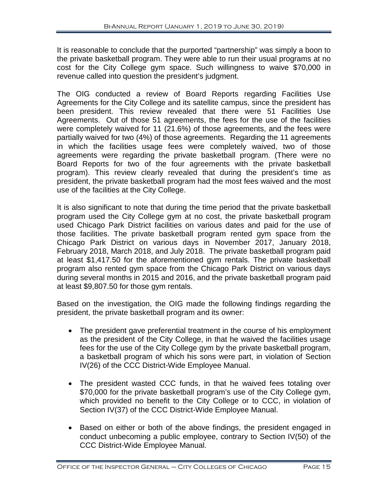It is reasonable to conclude that the purported "partnership" was simply a boon to the private basketball program. They were able to run their usual programs at no cost for the City College gym space. Such willingness to waive \$70,000 in revenue called into question the president's judgment.

The OIG conducted a review of Board Reports regarding Facilities Use Agreements for the City College and its satellite campus, since the president has been president. This review revealed that there were 51 Facilities Use Agreements. Out of those 51 agreements, the fees for the use of the facilities were completely waived for 11 (21.6%) of those agreements, and the fees were partially waived for two (4%) of those agreements. Regarding the 11 agreements in which the facilities usage fees were completely waived, two of those agreements were regarding the private basketball program. (There were no Board Reports for two of the four agreements with the private basketball program). This review clearly revealed that during the president's time as president, the private basketball program had the most fees waived and the most use of the facilities at the City College.

It is also significant to note that during the time period that the private basketball program used the City College gym at no cost, the private basketball program used Chicago Park District facilities on various dates and paid for the use of those facilities. The private basketball program rented gym space from the Chicago Park District on various days in November 2017, January 2018, February 2018, March 2018, and July 2018. The private basketball program paid at least \$1,417.50 for the aforementioned gym rentals. The private basketball program also rented gym space from the Chicago Park District on various days during several months in 2015 and 2016, and the private basketball program paid at least \$9,807.50 for those gym rentals.

Based on the investigation, the OIG made the following findings regarding the president, the private basketball program and its owner:

- The president gave preferential treatment in the course of his employment as the president of the City College, in that he waived the facilities usage fees for the use of the City College gym by the private basketball program, a basketball program of which his sons were part, in violation of Section IV(26) of the CCC District-Wide Employee Manual.
- The president wasted CCC funds, in that he waived fees totaling over \$70,000 for the private basketball program's use of the City College gym, which provided no benefit to the City College or to CCC, in violation of Section IV(37) of the CCC District-Wide Employee Manual.
- Based on either or both of the above findings, the president engaged in conduct unbecoming a public employee, contrary to Section IV(50) of the CCC District-Wide Employee Manual.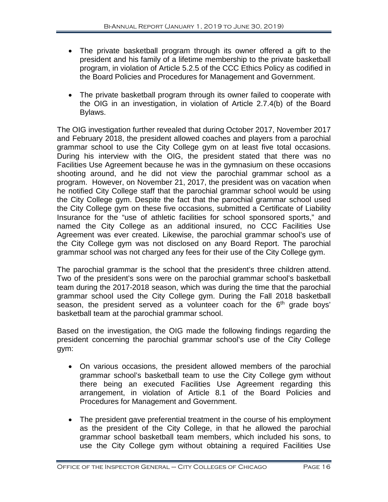- The private basketball program through its owner offered a gift to the president and his family of a lifetime membership to the private basketball program, in violation of Article 5.2.5 of the CCC Ethics Policy as codified in the Board Policies and Procedures for Management and Government.
- The private basketball program through its owner failed to cooperate with the OIG in an investigation, in violation of Article 2.7.4(b) of the Board Bylaws.

The OIG investigation further revealed that during October 2017, November 2017 and February 2018, the president allowed coaches and players from a parochial grammar school to use the City College gym on at least five total occasions. During his interview with the OIG, the president stated that there was no Facilities Use Agreement because he was in the gymnasium on these occasions shooting around, and he did not view the parochial grammar school as a program. However, on November 21, 2017, the president was on vacation when he notified City College staff that the parochial grammar school would be using the City College gym. Despite the fact that the parochial grammar school used the City College gym on these five occasions, submitted a Certificate of Liability Insurance for the "use of athletic facilities for school sponsored sports," and named the City College as an additional insured, no CCC Facilities Use Agreement was ever created. Likewise, the parochial grammar school's use of the City College gym was not disclosed on any Board Report. The parochial grammar school was not charged any fees for their use of the City College gym.

The parochial grammar is the school that the president's three children attend. Two of the president's sons were on the parochial grammar school's basketball team during the 2017-2018 season, which was during the time that the parochial grammar school used the City College gym. During the Fall 2018 basketball season, the president served as a volunteer coach for the  $6<sup>th</sup>$  grade boys' basketball team at the parochial grammar school.

Based on the investigation, the OIG made the following findings regarding the president concerning the parochial grammar school's use of the City College gym:

- On various occasions, the president allowed members of the parochial grammar school's basketball team to use the City College gym without there being an executed Facilities Use Agreement regarding this arrangement, in violation of Article 8.1 of the Board Policies and Procedures for Management and Government.
- The president gave preferential treatment in the course of his employment as the president of the City College, in that he allowed the parochial grammar school basketball team members, which included his sons, to use the City College gym without obtaining a required Facilities Use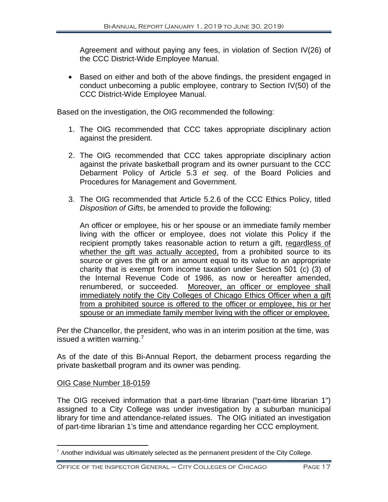Agreement and without paying any fees, in violation of Section IV(26) of the CCC District-Wide Employee Manual.

• Based on either and both of the above findings, the president engaged in conduct unbecoming a public employee, contrary to Section IV(50) of the CCC District-Wide Employee Manual.

Based on the investigation, the OIG recommended the following:

- 1. The OIG recommended that CCC takes appropriate disciplinary action against the president.
- 2. The OIG recommended that CCC takes appropriate disciplinary action against the private basketball program and its owner pursuant to the CCC Debarment Policy of Article 5.3 *et seq*. of the Board Policies and Procedures for Management and Government.
- 3. The OIG recommended that Article 5.2.6 of the CCC Ethics Policy, titled *Disposition of Gifts*, be amended to provide the following:

An officer or employee, his or her spouse or an immediate family member living with the officer or employee, does not violate this Policy if the recipient promptly takes reasonable action to return a gift, regardless of whether the gift was actually accepted, from a prohibited source to its source or gives the gift or an amount equal to its value to an appropriate charity that is exempt from income taxation under Section 501 (c) (3) of the Internal Revenue Code of 1986, as now or hereafter amended, renumbered, or succeeded. Moreover, an officer or employee shall immediately notify the City Colleges of Chicago Ethics Officer when a gift from a prohibited source is offered to the officer or employee, his or her spouse or an immediate family member living with the officer or employee.

Per the Chancellor, the president, who was in an interim position at the time, was issued a written warning.[7](#page-18-0)

As of the date of this Bi-Annual Report, the debarment process regarding the private basketball program and its owner was pending.

# OIG Case Number 18-0159

The OIG received information that a part-time librarian ("part-time librarian 1") assigned to a City College was under investigation by a suburban municipal library for time and attendance-related issues. The OIG initiated an investigation of part-time librarian 1's time and attendance regarding her CCC employment.

<span id="page-18-0"></span> $7$  Another individual was ultimately selected as the permanent president of the City College.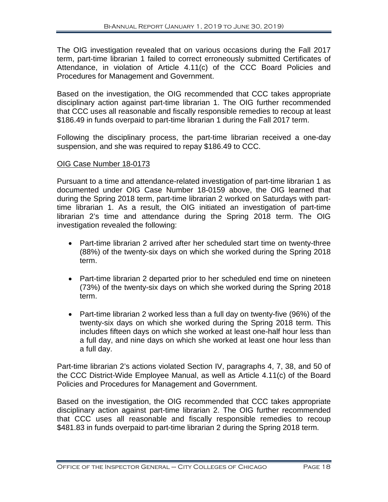The OIG investigation revealed that on various occasions during the Fall 2017 term, part-time librarian 1 failed to correct erroneously submitted Certificates of Attendance, in violation of Article 4.11(c) of the CCC Board Policies and Procedures for Management and Government.

Based on the investigation, the OIG recommended that CCC takes appropriate disciplinary action against part-time librarian 1. The OIG further recommended that CCC uses all reasonable and fiscally responsible remedies to recoup at least \$186.49 in funds overpaid to part-time librarian 1 during the Fall 2017 term.

Following the disciplinary process, the part-time librarian received a one-day suspension, and she was required to repay \$186.49 to CCC.

#### OIG Case Number 18-0173

Pursuant to a time and attendance-related investigation of part-time librarian 1 as documented under OIG Case Number 18-0159 above, the OIG learned that during the Spring 2018 term, part-time librarian 2 worked on Saturdays with parttime librarian 1. As a result, the OIG initiated an investigation of part-time librarian 2's time and attendance during the Spring 2018 term. The OIG investigation revealed the following:

- Part-time librarian 2 arrived after her scheduled start time on twenty-three (88%) of the twenty-six days on which she worked during the Spring 2018 term.
- Part-time librarian 2 departed prior to her scheduled end time on nineteen (73%) of the twenty-six days on which she worked during the Spring 2018 term.
- Part-time librarian 2 worked less than a full day on twenty-five (96%) of the twenty-six days on which she worked during the Spring 2018 term. This includes fifteen days on which she worked at least one-half hour less than a full day, and nine days on which she worked at least one hour less than a full day.

Part-time librarian 2's actions violated Section IV, paragraphs 4, 7, 38, and 50 of the CCC District-Wide Employee Manual, as well as Article 4.11(c) of the Board Policies and Procedures for Management and Government.

Based on the investigation, the OIG recommended that CCC takes appropriate disciplinary action against part-time librarian 2. The OIG further recommended that CCC uses all reasonable and fiscally responsible remedies to recoup \$481.83 in funds overpaid to part-time librarian 2 during the Spring 2018 term.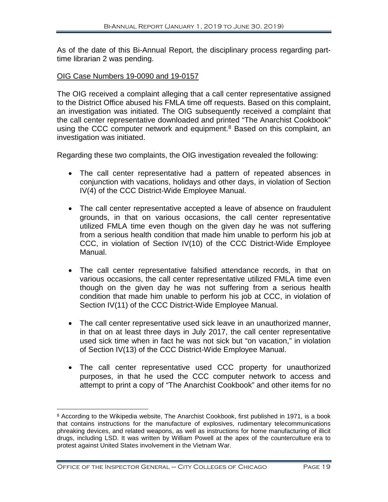As of the date of this Bi-Annual Report, the disciplinary process regarding parttime librarian 2 was pending.

#### OIG Case Numbers 19-0090 and 19-0157

The OIG received a complaint alleging that a call center representative assigned to the District Office abused his FMLA time off requests. Based on this complaint, an investigation was initiated. The OIG subsequently received a complaint that the call center representative downloaded and printed "The Anarchist Cookbook" using the CCC computer network and equipment.<sup>[8](#page-20-0)</sup> Based on this complaint, an investigation was initiated.

Regarding these two complaints, the OIG investigation revealed the following:

- The call center representative had a pattern of repeated absences in conjunction with vacations, holidays and other days, in violation of Section IV(4) of the CCC District-Wide Employee Manual.
- The call center representative accepted a leave of absence on fraudulent grounds, in that on various occasions, the call center representative utilized FMLA time even though on the given day he was not suffering from a serious health condition that made him unable to perform his job at CCC, in violation of Section IV(10) of the CCC District-Wide Employee Manual.
- The call center representative falsified attendance records, in that on various occasions, the call center representative utilized FMLA time even though on the given day he was not suffering from a serious health condition that made him unable to perform his job at CCC, in violation of Section IV(11) of the CCC District-Wide Employee Manual.
- The call center representative used sick leave in an unauthorized manner, in that on at least three days in July 2017, the call center representative used sick time when in fact he was not sick but "on vacation," in violation of Section IV(13) of the CCC District-Wide Employee Manual.
- The call center representative used CCC property for unauthorized purposes, in that he used the CCC computer network to access and attempt to print a copy of "The Anarchist Cookbook" and other items for no

<span id="page-20-0"></span> $\overline{a}$ <sup>8</sup> According to the Wikipedia website, The Anarchist Cookbook, first published in 1971, is a book that contains instructions for the manufacture of [explosives,](https://en.wikipedia.org/wiki/Explosive_material) rudimentary telecommunications [phreaking](https://en.wikipedia.org/wiki/Phreaking) devices, and related weapons, as well as instructions for home manufacturing of illicit drugs, including [LSD.](https://en.wikipedia.org/wiki/LSD) It was written by William Powell at the apex of the [counterculture](https://en.wikipedia.org/wiki/Counterculture_of_the_1960s) era to protest against [United States involvement in the Vietnam War.](https://en.wikipedia.org/wiki/Role_of_United_States_in_the_Vietnam_War)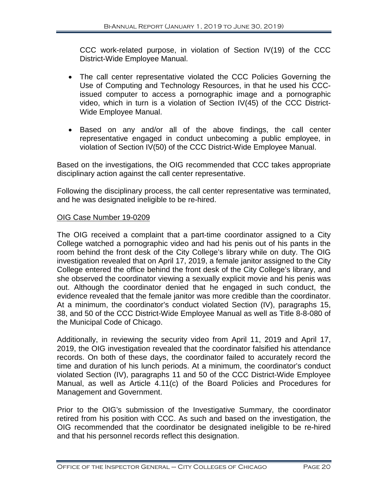CCC work-related purpose, in violation of Section IV(19) of the CCC District-Wide Employee Manual.

- The call center representative violated the CCC Policies Governing the Use of Computing and Technology Resources, in that he used his CCCissued computer to access a pornographic image and a pornographic video, which in turn is a violation of Section IV(45) of the CCC District-Wide Employee Manual.
- Based on any and/or all of the above findings, the call center representative engaged in conduct unbecoming a public employee, in violation of Section IV(50) of the CCC District-Wide Employee Manual.

Based on the investigations, the OIG recommended that CCC takes appropriate disciplinary action against the call center representative.

Following the disciplinary process, the call center representative was terminated, and he was designated ineligible to be re-hired.

# OIG Case Number 19-0209

The OIG received a complaint that a part-time coordinator assigned to a City College watched a pornographic video and had his penis out of his pants in the room behind the front desk of the City College's library while on duty. The OIG investigation revealed that on April 17, 2019, a female janitor assigned to the City College entered the office behind the front desk of the City College's library, and she observed the coordinator viewing a sexually explicit movie and his penis was out. Although the coordinator denied that he engaged in such conduct, the evidence revealed that the female janitor was more credible than the coordinator. At a minimum, the coordinator's conduct violated Section (IV), paragraphs 15, 38, and 50 of the CCC District-Wide Employee Manual as well as Title 8-8-080 of the Municipal Code of Chicago.

Additionally, in reviewing the security video from April 11, 2019 and April 17, 2019, the OIG investigation revealed that the coordinator falsified his attendance records. On both of these days, the coordinator failed to accurately record the time and duration of his lunch periods. At a minimum, the coordinator's conduct violated Section (IV), paragraphs 11 and 50 of the CCC District-Wide Employee Manual, as well as Article 4.11(c) of the Board Policies and Procedures for Management and Government.

Prior to the OIG's submission of the Investigative Summary, the coordinator retired from his position with CCC. As such and based on the investigation, the OIG recommended that the coordinator be designated ineligible to be re-hired and that his personnel records reflect this designation.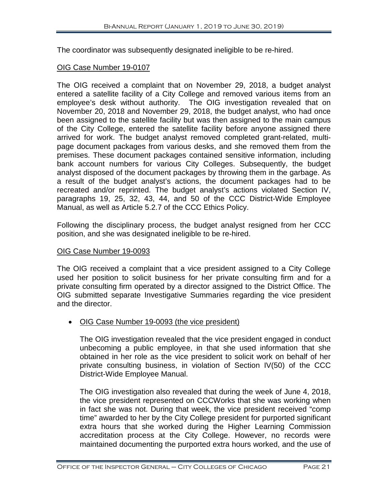The coordinator was subsequently designated ineligible to be re-hired.

# OIG Case Number 19-0107

The OIG received a complaint that on November 29, 2018, a budget analyst entered a satellite facility of a City College and removed various items from an employee's desk without authority. The OIG investigation revealed that on November 20, 2018 and November 29, 2018, the budget analyst, who had once been assigned to the satellite facility but was then assigned to the main campus of the City College, entered the satellite facility before anyone assigned there arrived for work. The budget analyst removed completed grant-related, multipage document packages from various desks, and she removed them from the premises. These document packages contained sensitive information, including bank account numbers for various City Colleges. Subsequently, the budget analyst disposed of the document packages by throwing them in the garbage. As a result of the budget analyst's actions, the document packages had to be recreated and/or reprinted. The budget analyst's actions violated Section IV, paragraphs 19, 25, 32, 43, 44, and 50 of the CCC District-Wide Employee Manual, as well as Article 5.2.7 of the CCC Ethics Policy.

Following the disciplinary process, the budget analyst resigned from her CCC position, and she was designated ineligible to be re-hired.

#### OIG Case Number 19-0093

The OIG received a complaint that a vice president assigned to a City College used her position to solicit business for her private consulting firm and for a private consulting firm operated by a director assigned to the District Office. The OIG submitted separate Investigative Summaries regarding the vice president and the director.

• OIG Case Number 19-0093 (the vice president)

The OIG investigation revealed that the vice president engaged in conduct unbecoming a public employee, in that she used information that she obtained in her role as the vice president to solicit work on behalf of her private consulting business, in violation of Section IV(50) of the CCC District-Wide Employee Manual.

The OIG investigation also revealed that during the week of June 4, 2018, the vice president represented on CCCWorks that she was working when in fact she was not. During that week, the vice president received "comp time" awarded to her by the City College president for purported significant extra hours that she worked during the Higher Learning Commission accreditation process at the City College. However, no records were maintained documenting the purported extra hours worked, and the use of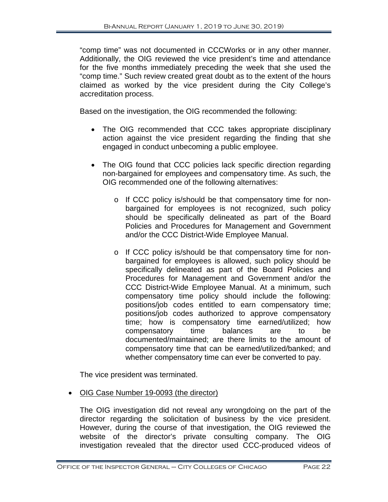"comp time" was not documented in CCCWorks or in any other manner. Additionally, the OIG reviewed the vice president's time and attendance for the five months immediately preceding the week that she used the "comp time." Such review created great doubt as to the extent of the hours claimed as worked by the vice president during the City College's accreditation process.

Based on the investigation, the OIG recommended the following:

- The OIG recommended that CCC takes appropriate disciplinary action against the vice president regarding the finding that she engaged in conduct unbecoming a public employee.
- The OIG found that CCC policies lack specific direction regarding non-bargained for employees and compensatory time. As such, the OIG recommended one of the following alternatives:
	- o If CCC policy is/should be that compensatory time for nonbargained for employees is not recognized, such policy should be specifically delineated as part of the Board Policies and Procedures for Management and Government and/or the CCC District-Wide Employee Manual.
	- o If CCC policy is/should be that compensatory time for nonbargained for employees is allowed, such policy should be specifically delineated as part of the Board Policies and Procedures for Management and Government and/or the CCC District-Wide Employee Manual. At a minimum, such compensatory time policy should include the following: positions/job codes entitled to earn compensatory time; positions/job codes authorized to approve compensatory time; how is compensatory time earned/utilized; how compensatory time balances are to be documented/maintained; are there limits to the amount of compensatory time that can be earned/utilized/banked; and whether compensatory time can ever be converted to pay.

The vice president was terminated.

• OIG Case Number 19-0093 (the director)

The OIG investigation did not reveal any wrongdoing on the part of the director regarding the solicitation of business by the vice president. However, during the course of that investigation, the OIG reviewed the website of the director's private consulting company. The OIG investigation revealed that the director used CCC-produced videos of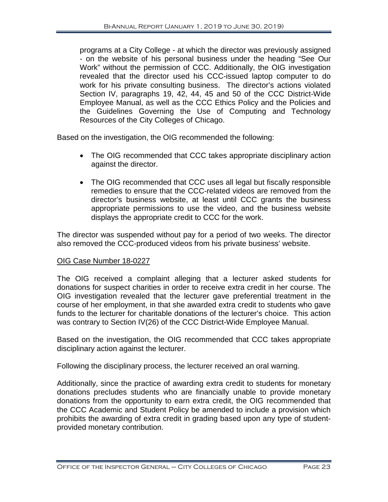programs at a City College - at which the director was previously assigned - on the website of his personal business under the heading "See Our Work" without the permission of CCC. Additionally, the OIG investigation revealed that the director used his CCC-issued laptop computer to do work for his private consulting business. The director's actions violated Section IV, paragraphs 19, 42, 44, 45 and 50 of the CCC District-Wide Employee Manual, as well as the CCC Ethics Policy and the Policies and the Guidelines Governing the Use of Computing and Technology Resources of the City Colleges of Chicago.

Based on the investigation, the OIG recommended the following:

- The OIG recommended that CCC takes appropriate disciplinary action against the director.
- The OIG recommended that CCC uses all legal but fiscally responsible remedies to ensure that the CCC-related videos are removed from the director's business website, at least until CCC grants the business appropriate permissions to use the video, and the business website displays the appropriate credit to CCC for the work.

The director was suspended without pay for a period of two weeks. The director also removed the CCC-produced videos from his private business' website.

# OIG Case Number 18-0227

The OIG received a complaint alleging that a lecturer asked students for donations for suspect charities in order to receive extra credit in her course. The OIG investigation revealed that the lecturer gave preferential treatment in the course of her employment, in that she awarded extra credit to students who gave funds to the lecturer for charitable donations of the lecturer's choice. This action was contrary to Section IV(26) of the CCC District-Wide Employee Manual.

Based on the investigation, the OIG recommended that CCC takes appropriate disciplinary action against the lecturer.

Following the disciplinary process, the lecturer received an oral warning.

Additionally, since the practice of awarding extra credit to students for monetary donations precludes students who are financially unable to provide monetary donations from the opportunity to earn extra credit, the OIG recommended that the CCC Academic and Student Policy be amended to include a provision which prohibits the awarding of extra credit in grading based upon any type of studentprovided monetary contribution.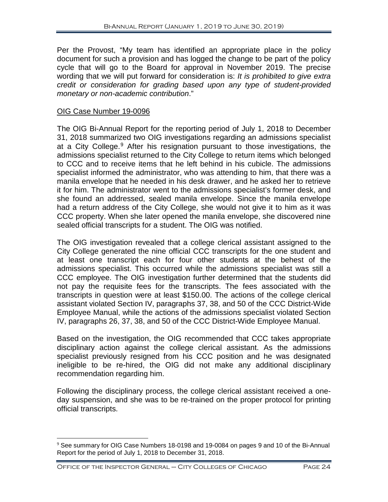Per the Provost, "My team has identified an appropriate place in the policy document for such a provision and has logged the change to be part of the policy cycle that will go to the Board for approval in November 2019. The precise wording that we will put forward for consideration is: *It is prohibited to give extra credit or consideration for grading based upon any type of student-provided monetary or non-academic contribution*."

## OIG Case Number 19-0096

The OIG Bi-Annual Report for the reporting period of July 1, 2018 to December 31, 2018 summarized two OIG investigations regarding an admissions specialist at a City College.<sup>[9](#page-25-0)</sup> After his resignation pursuant to those investigations, the admissions specialist returned to the City College to return items which belonged to CCC and to receive items that he left behind in his cubicle. The admissions specialist informed the administrator, who was attending to him, that there was a manila envelope that he needed in his desk drawer, and he asked her to retrieve it for him. The administrator went to the admissions specialist's former desk, and she found an addressed, sealed manila envelope. Since the manila envelope had a return address of the City College, she would not give it to him as it was CCC property. When she later opened the manila envelope, she discovered nine sealed official transcripts for a student. The OIG was notified.

The OIG investigation revealed that a college clerical assistant assigned to the City College generated the nine official CCC transcripts for the one student and at least one transcript each for four other students at the behest of the admissions specialist. This occurred while the admissions specialist was still a CCC employee. The OIG investigation further determined that the students did not pay the requisite fees for the transcripts. The fees associated with the transcripts in question were at least \$150.00. The actions of the college clerical assistant violated Section IV, paragraphs 37, 38, and 50 of the CCC District-Wide Employee Manual, while the actions of the admissions specialist violated Section IV, paragraphs 26, 37, 38, and 50 of the CCC District-Wide Employee Manual.

Based on the investigation, the OIG recommended that CCC takes appropriate disciplinary action against the college clerical assistant. As the admissions specialist previously resigned from his CCC position and he was designated ineligible to be re-hired, the OIG did not make any additional disciplinary recommendation regarding him.

Following the disciplinary process, the college clerical assistant received a oneday suspension, and she was to be re-trained on the proper protocol for printing official transcripts.

<span id="page-25-0"></span> <sup>9</sup> See summary for OIG Case Numbers 18-0198 and 19-0084 on pages 9 and 10 of the Bi-Annual Report for the period of July 1, 2018 to December 31, 2018.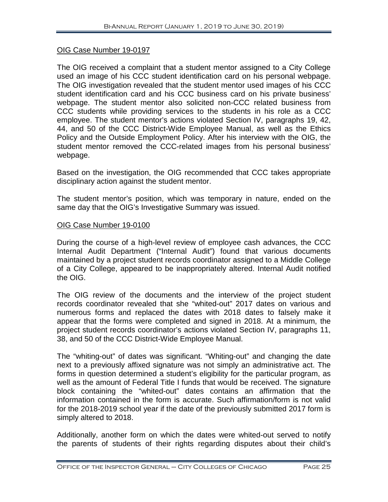## OIG Case Number 19-0197

The OIG received a complaint that a student mentor assigned to a City College used an image of his CCC student identification card on his personal webpage. The OIG investigation revealed that the student mentor used images of his CCC student identification card and his CCC business card on his private business' webpage. The student mentor also solicited non-CCC related business from CCC students while providing services to the students in his role as a CCC employee. The student mentor's actions violated Section IV, paragraphs 19, 42, 44, and 50 of the CCC District-Wide Employee Manual, as well as the Ethics Policy and the Outside Employment Policy. After his interview with the OIG, the student mentor removed the CCC-related images from his personal business' webpage.

Based on the investigation, the OIG recommended that CCC takes appropriate disciplinary action against the student mentor.

The student mentor's position, which was temporary in nature, ended on the same day that the OIG's Investigative Summary was issued.

#### OIG Case Number 19-0100

During the course of a high-level review of employee cash advances, the CCC Internal Audit Department ("Internal Audit") found that various documents maintained by a project student records coordinator assigned to a Middle College of a City College, appeared to be inappropriately altered. Internal Audit notified the OIG.

The OIG review of the documents and the interview of the project student records coordinator revealed that she "whited-out" 2017 dates on various and numerous forms and replaced the dates with 2018 dates to falsely make it appear that the forms were completed and signed in 2018. At a minimum, the project student records coordinator's actions violated Section IV, paragraphs 11, 38, and 50 of the CCC District-Wide Employee Manual.

The "whiting-out" of dates was significant. "Whiting-out" and changing the date next to a previously affixed signature was not simply an administrative act. The forms in question determined a student's eligibility for the particular program, as well as the amount of Federal Title I funds that would be received. The signature block containing the "whited-out" dates contains an affirmation that the information contained in the form is accurate. Such affirmation/form is not valid for the 2018-2019 school year if the date of the previously submitted 2017 form is simply altered to 2018.

Additionally, another form on which the dates were whited-out served to notify the parents of students of their rights regarding disputes about their child's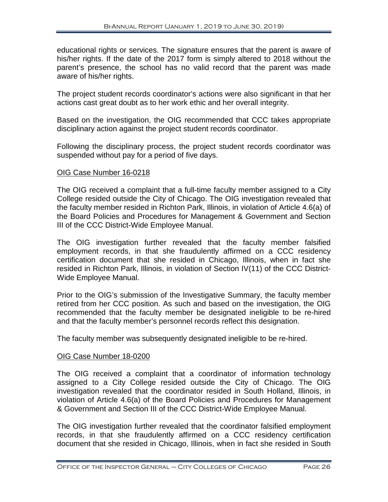educational rights or services. The signature ensures that the parent is aware of his/her rights. If the date of the 2017 form is simply altered to 2018 without the parent's presence, the school has no valid record that the parent was made aware of his/her rights.

The project student records coordinator's actions were also significant in that her actions cast great doubt as to her work ethic and her overall integrity.

Based on the investigation, the OIG recommended that CCC takes appropriate disciplinary action against the project student records coordinator.

Following the disciplinary process, the project student records coordinator was suspended without pay for a period of five days.

# OIG Case Number 16-0218

The OIG received a complaint that a full-time faculty member assigned to a City College resided outside the City of Chicago. The OIG investigation revealed that the faculty member resided in Richton Park, Illinois, in violation of Article 4.6(a) of the Board Policies and Procedures for Management & Government and Section III of the CCC District-Wide Employee Manual.

The OIG investigation further revealed that the faculty member falsified employment records, in that she fraudulently affirmed on a CCC residency certification document that she resided in Chicago, Illinois, when in fact she resided in Richton Park, Illinois, in violation of Section IV(11) of the CCC District-Wide Employee Manual.

Prior to the OIG's submission of the Investigative Summary, the faculty member retired from her CCC position. As such and based on the investigation, the OIG recommended that the faculty member be designated ineligible to be re-hired and that the faculty member's personnel records reflect this designation.

The faculty member was subsequently designated ineligible to be re-hired.

#### OIG Case Number 18-0200

The OIG received a complaint that a coordinator of information technology assigned to a City College resided outside the City of Chicago. The OIG investigation revealed that the coordinator resided in South Holland, Illinois, in violation of Article 4.6(a) of the Board Policies and Procedures for Management & Government and Section III of the CCC District-Wide Employee Manual.

The OIG investigation further revealed that the coordinator falsified employment records, in that she fraudulently affirmed on a CCC residency certification document that she resided in Chicago, Illinois, when in fact she resided in South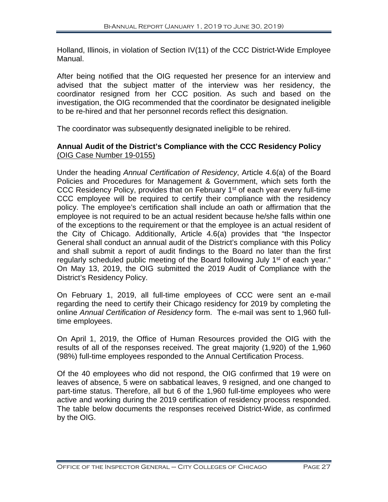Holland, Illinois, in violation of Section IV(11) of the CCC District-Wide Employee Manual.

After being notified that the OIG requested her presence for an interview and advised that the subject matter of the interview was her residency, the coordinator resigned from her CCC position. As such and based on the investigation, the OIG recommended that the coordinator be designated ineligible to be re-hired and that her personnel records reflect this designation.

The coordinator was subsequently designated ineligible to be rehired.

# **Annual Audit of the District's Compliance with the CCC Residency Policy** (OIG Case Number 19-0155)

Under the heading *Annual Certification of Residency*, Article 4.6(a) of the Board Policies and Procedures for Management & Government, which sets forth the CCC Residency Policy, provides that on February 1<sup>st</sup> of each year every full-time CCC employee will be required to certify their compliance with the residency policy. The employee's certification shall include an oath or affirmation that the employee is not required to be an actual resident because he/she falls within one of the exceptions to the requirement or that the employee is an actual resident of the City of Chicago. Additionally, Article 4.6(a) provides that "the Inspector General shall conduct an annual audit of the District's compliance with this Policy and shall submit a report of audit findings to the Board no later than the first regularly scheduled public meeting of the Board following July 1<sup>st</sup> of each year." On May 13, 2019, the OIG submitted the 2019 Audit of Compliance with the District's Residency Policy.

On February 1, 2019, all full-time employees of CCC were sent an e-mail regarding the need to certify their Chicago residency for 2019 by completing the online *Annual Certification of Residency* form. The e-mail was sent to 1,960 fulltime employees.

On April 1, 2019, the Office of Human Resources provided the OIG with the results of all of the responses received. The great majority (1,920) of the 1,960 (98%) full-time employees responded to the Annual Certification Process.

Of the 40 employees who did not respond, the OIG confirmed that 19 were on leaves of absence, 5 were on sabbatical leaves, 9 resigned, and one changed to part-time status. Therefore, all but 6 of the 1,960 full-time employees who were active and working during the 2019 certification of residency process responded. The table below documents the responses received District-Wide, as confirmed by the OIG.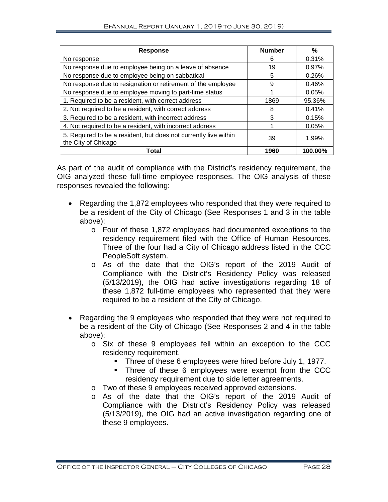| <b>Response</b>                                                                         | <b>Number</b> | %       |
|-----------------------------------------------------------------------------------------|---------------|---------|
| No response                                                                             | 6             | 0.31%   |
| No response due to employee being on a leave of absence                                 | 19            | 0.97%   |
| No response due to employee being on sabbatical                                         | 5             | 0.26%   |
| No response due to resignation or retirement of the employee                            | 9             | 0.46%   |
| No response due to employee moving to part-time status                                  |               | 0.05%   |
| 1. Required to be a resident, with correct address                                      | 1869          | 95.36%  |
| 2. Not required to be a resident, with correct address                                  | 8             | 0.41%   |
| 3. Required to be a resident, with incorrect address                                    | 3             | 0.15%   |
| 4. Not required to be a resident, with incorrect address                                |               | 0.05%   |
| 5. Required to be a resident, but does not currently live within<br>the City of Chicago | 39            | 1.99%   |
| Total                                                                                   | 1960          | 100.00% |

As part of the audit of compliance with the District's residency requirement, the OIG analyzed these full-time employee responses. The OIG analysis of these responses revealed the following:

- Regarding the 1,872 employees who responded that they were required to be a resident of the City of Chicago (See Responses 1 and 3 in the table above):
	- o Four of these 1,872 employees had documented exceptions to the residency requirement filed with the Office of Human Resources. Three of the four had a City of Chicago address listed in the CCC PeopleSoft system.
	- o As of the date that the OIG's report of the 2019 Audit of Compliance with the District's Residency Policy was released (5/13/2019), the OIG had active investigations regarding 18 of these 1,872 full-time employees who represented that they were required to be a resident of the City of Chicago.
- Regarding the 9 employees who responded that they were not required to be a resident of the City of Chicago (See Responses 2 and 4 in the table above):
	- o Six of these 9 employees fell within an exception to the CCC residency requirement.
		- Three of these 6 employees were hired before July 1, 1977.
		- **Three of these 6 employees were exempt from the CCC** residency requirement due to side letter agreements.
	- o Two of these 9 employees received approved extensions.
	- o As of the date that the OIG's report of the 2019 Audit of Compliance with the District's Residency Policy was released (5/13/2019), the OIG had an active investigation regarding one of these 9 employees.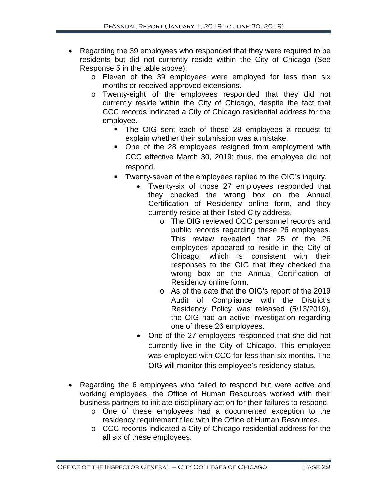- Regarding the 39 employees who responded that they were required to be residents but did not currently reside within the City of Chicago (See Response 5 in the table above):
	- o Eleven of the 39 employees were employed for less than six months or received approved extensions.
	- o Twenty-eight of the employees responded that they did not currently reside within the City of Chicago, despite the fact that CCC records indicated a City of Chicago residential address for the employee.
		- The OIG sent each of these 28 employees a request to explain whether their submission was a mistake.
		- One of the 28 employees resigned from employment with CCC effective March 30, 2019; thus, the employee did not respond.
		- **Twenty-seven of the employees replied to the OIG's inquiry.** 
			- Twenty-six of those 27 employees responded that they checked the wrong box on the Annual Certification of Residency online form, and they currently reside at their listed City address.
				- o The OIG reviewed CCC personnel records and public records regarding these 26 employees. This review revealed that 25 of the 26 employees appeared to reside in the City of Chicago, which is consistent with their responses to the OIG that they checked the wrong box on the Annual Certification of Residency online form.
				- o As of the date that the OIG's report of the 2019 Audit of Compliance with the District's Residency Policy was released (5/13/2019), the OIG had an active investigation regarding one of these 26 employees.
			- One of the 27 employees responded that she did not currently live in the City of Chicago. This employee was employed with CCC for less than six months. The OIG will monitor this employee's residency status.
- Regarding the 6 employees who failed to respond but were active and working employees, the Office of Human Resources worked with their business partners to initiate disciplinary action for their failures to respond.
	- o One of these employees had a documented exception to the residency requirement filed with the Office of Human Resources.
	- o CCC records indicated a City of Chicago residential address for the all six of these employees.